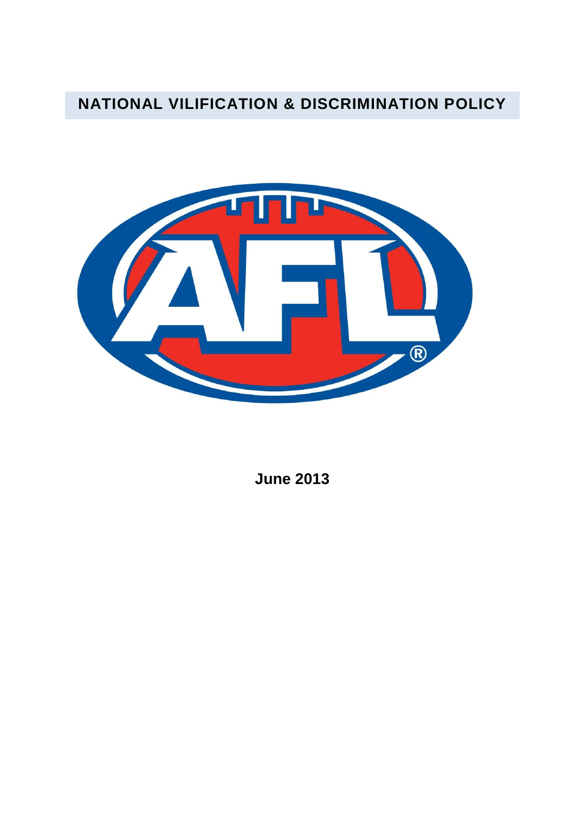# **NATIONAL VILIFICATION & DISCRIMINATION POLICY**



**June 2013**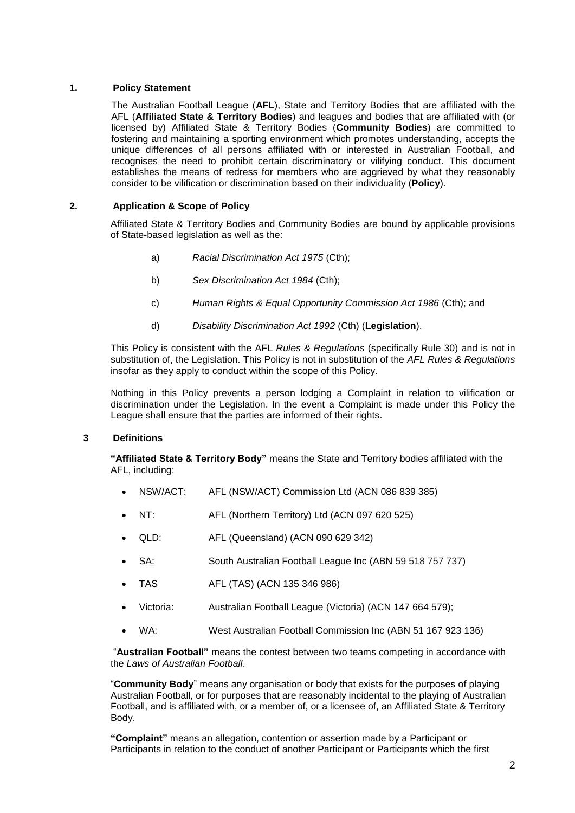### **1. Policy Statement**

The Australian Football League (**AFL**), State and Territory Bodies that are affiliated with the AFL (**Affiliated State & Territory Bodies**) and leagues and bodies that are affiliated with (or licensed by) Affiliated State & Territory Bodies (**Community Bodies**) are committed to fostering and maintaining a sporting environment which promotes understanding, accepts the unique differences of all persons affiliated with or interested in Australian Football, and recognises the need to prohibit certain discriminatory or vilifying conduct. This document establishes the means of redress for members who are aggrieved by what they reasonably consider to be vilification or discrimination based on their individuality (**Policy**).

### **2. Application & Scope of Policy**

Affiliated State & Territory Bodies and Community Bodies are bound by applicable provisions of State-based legislation as well as the:

- a) *Racial Discrimination Act 1975* (Cth);
- b) *Sex Discrimination Act 1984* (Cth);
- c) *Human Rights & Equal Opportunity Commission Act 1986* (Cth); and
- d) *Disability Discrimination Act 1992* (Cth) (**Legislation**).

This Policy is consistent with the AFL *Rules & Regulations* (specifically Rule 30) and is not in substitution of, the Legislation. This Policy is not in substitution of the *AFL Rules & Regulations* insofar as they apply to conduct within the scope of this Policy.

Nothing in this Policy prevents a person lodging a Complaint in relation to vilification or discrimination under the Legislation. In the event a Complaint is made under this Policy the League shall ensure that the parties are informed of their rights.

#### **3 Definitions**

**"Affiliated State & Territory Body"** means the State and Territory bodies affiliated with the AFL, including:

- NSW/ACT: AFL (NSW/ACT) Commission Ltd (ACN 086 839 385)
- NT: AFL (Northern Territory) Ltd (ACN 097 620 525)
- QLD: AFL (Queensland) (ACN 090 629 342)
- SA: South Australian Football League Inc (ABN 59 518 757 737)
- TAS AFL (TAS) (ACN 135 346 986)
- Victoria: Australian Football League (Victoria) (ACN 147 664 579);
- WA: West Australian Football Commission Inc (ABN 51 167 923 136)

"**Australian Football"** means the contest between two teams competing in accordance with the *Laws of Australian Football*.

"**Community Body**" means any organisation or body that exists for the purposes of playing Australian Football, or for purposes that are reasonably incidental to the playing of Australian Football, and is affiliated with, or a member of, or a licensee of, an Affiliated State & Territory Body.

**"Complaint"** means an allegation, contention or assertion made by a Participant or Participants in relation to the conduct of another Participant or Participants which the first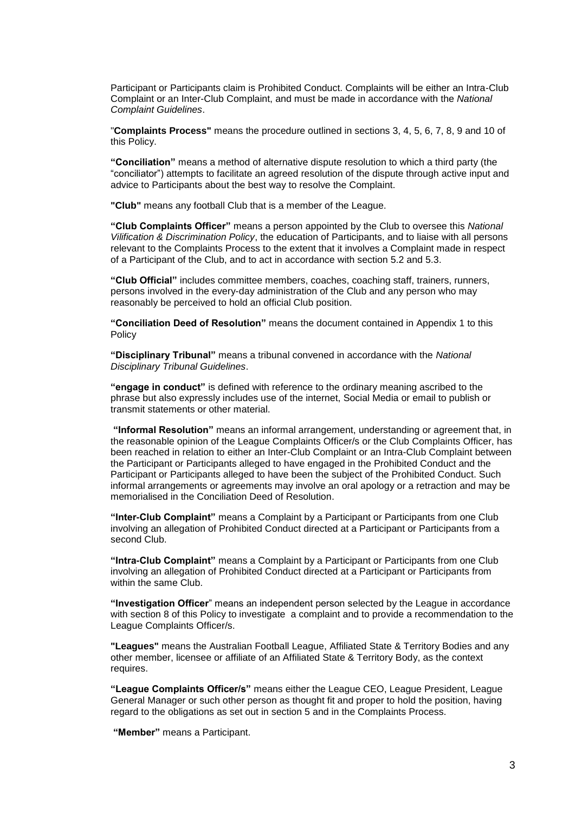Participant or Participants claim is Prohibited Conduct. Complaints will be either an Intra-Club Complaint or an Inter-Club Complaint, and must be made in accordance with the *National Complaint Guidelines*.

"**Complaints Process"** means the procedure outlined in sections 3, 4, 5, 6, 7, 8, 9 and 10 of this Policy.

**"Conciliation"** means a method of alternative dispute resolution to which a third party (the "conciliator") attempts to facilitate an agreed resolution of the dispute through active input and advice to Participants about the best way to resolve the Complaint.

**"Club"** means any football Club that is a member of the League.

**"Club Complaints Officer"** means a person appointed by the Club to oversee this *National Vilification & Discrimination Policy*, the education of Participants, and to liaise with all persons relevant to the Complaints Process to the extent that it involves a Complaint made in respect of a Participant of the Club, and to act in accordance with section 5.2 and 5.3.

**"Club Official"** includes committee members, coaches, coaching staff, trainers, runners, persons involved in the every-day administration of the Club and any person who may reasonably be perceived to hold an official Club position.

**"Conciliation Deed of Resolution"** means the document contained in Appendix 1 to this **Policy** 

**"Disciplinary Tribunal"** means a tribunal convened in accordance with the *National Disciplinary Tribunal Guidelines*.

**"engage in conduct"** is defined with reference to the ordinary meaning ascribed to the phrase but also expressly includes use of the internet, Social Media or email to publish or transmit statements or other material.

**"Informal Resolution"** means an informal arrangement, understanding or agreement that, in the reasonable opinion of the League Complaints Officer/s or the Club Complaints Officer, has been reached in relation to either an Inter-Club Complaint or an Intra-Club Complaint between the Participant or Participants alleged to have engaged in the Prohibited Conduct and the Participant or Participants alleged to have been the subject of the Prohibited Conduct. Such informal arrangements or agreements may involve an oral apology or a retraction and may be memorialised in the Conciliation Deed of Resolution.

**"Inter-Club Complaint"** means a Complaint by a Participant or Participants from one Club involving an allegation of Prohibited Conduct directed at a Participant or Participants from a second Club.

**"Intra-Club Complaint"** means a Complaint by a Participant or Participants from one Club involving an allegation of Prohibited Conduct directed at a Participant or Participants from within the same Club.

**"Investigation Officer**" means an independent person selected by the League in accordance with section 8 of this Policy to investigate a complaint and to provide a recommendation to the League Complaints Officer/s.

**"Leagues"** means the Australian Football League, Affiliated State & Territory Bodies and any other member, licensee or affiliate of an Affiliated State & Territory Body, as the context requires.

**"League Complaints Officer/s"** means either the League CEO, League President, League General Manager or such other person as thought fit and proper to hold the position, having regard to the obligations as set out in section 5 and in the Complaints Process.

**"Member"** means a Participant.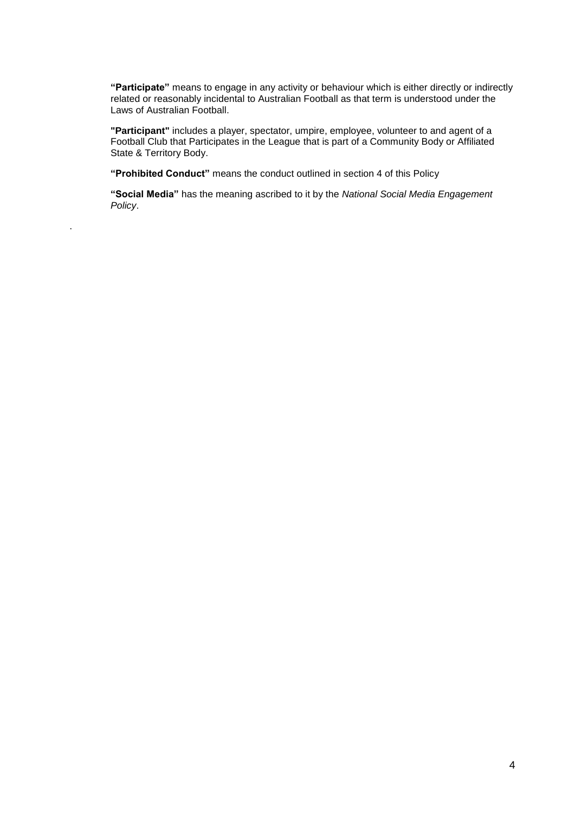**"Participate"** means to engage in any activity or behaviour which is either directly or indirectly related or reasonably incidental to Australian Football as that term is understood under the Laws of Australian Football.

**"Participant"** includes a player, spectator, umpire, employee, volunteer to and agent of a Football Club that Participates in the League that is part of a Community Body or Affiliated State & Territory Body.

**"Prohibited Conduct"** means the conduct outlined in section 4 of this Policy

.

**"Social Media"** has the meaning ascribed to it by the *National Social Media Engagement Policy*.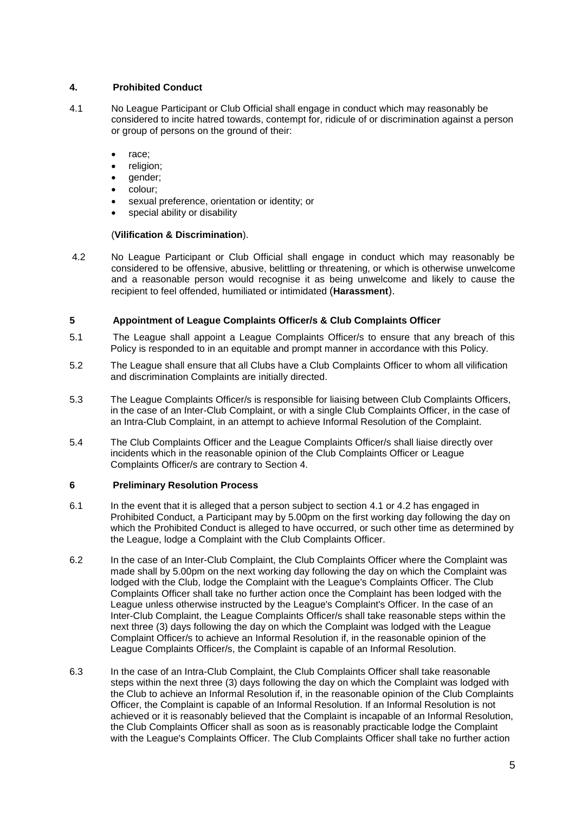### **4. Prohibited Conduct**

- 4.1 No League Participant or Club Official shall engage in conduct which may reasonably be considered to incite hatred towards, contempt for, ridicule of or discrimination against a person or group of persons on the ground of their:
	- race;
	- religion:
	- gender;
	- colour;
	- sexual preference, orientation or identity; or
	- special ability or disability

### (**Vilification & Discrimination**).

4.2 No League Participant or Club Official shall engage in conduct which may reasonably be considered to be offensive, abusive, belittling or threatening, or which is otherwise unwelcome and a reasonable person would recognise it as being unwelcome and likely to cause the recipient to feel offended, humiliated or intimidated (**Harassment**).

### **5 Appointment of League Complaints Officer/s & Club Complaints Officer**

- 5.1 The League shall appoint a League Complaints Officer/s to ensure that any breach of this Policy is responded to in an equitable and prompt manner in accordance with this Policy.
- 5.2 The League shall ensure that all Clubs have a Club Complaints Officer to whom all vilification and discrimination Complaints are initially directed.
- 5.3 The League Complaints Officer/s is responsible for liaising between Club Complaints Officers, in the case of an Inter-Club Complaint, or with a single Club Complaints Officer, in the case of an Intra-Club Complaint, in an attempt to achieve Informal Resolution of the Complaint.
- 5.4 The Club Complaints Officer and the League Complaints Officer/s shall liaise directly over incidents which in the reasonable opinion of the Club Complaints Officer or League Complaints Officer/s are contrary to Section 4.

### **6 Preliminary Resolution Process**

- 6.1 In the event that it is alleged that a person subject to section 4.1 or 4.2 has engaged in Prohibited Conduct, a Participant may by 5.00pm on the first working day following the day on which the Prohibited Conduct is alleged to have occurred, or such other time as determined by the League, lodge a Complaint with the Club Complaints Officer.
- 6.2 In the case of an Inter-Club Complaint, the Club Complaints Officer where the Complaint was made shall by 5.00pm on the next working day following the day on which the Complaint was lodged with the Club, lodge the Complaint with the League's Complaints Officer. The Club Complaints Officer shall take no further action once the Complaint has been lodged with the League unless otherwise instructed by the League's Complaint's Officer. In the case of an Inter-Club Complaint, the League Complaints Officer/s shall take reasonable steps within the next three (3) days following the day on which the Complaint was lodged with the League Complaint Officer/s to achieve an Informal Resolution if, in the reasonable opinion of the League Complaints Officer/s, the Complaint is capable of an Informal Resolution.
- 6.3 In the case of an Intra-Club Complaint, the Club Complaints Officer shall take reasonable steps within the next three (3) days following the day on which the Complaint was lodged with the Club to achieve an Informal Resolution if, in the reasonable opinion of the Club Complaints Officer, the Complaint is capable of an Informal Resolution. If an Informal Resolution is not achieved or it is reasonably believed that the Complaint is incapable of an Informal Resolution, the Club Complaints Officer shall as soon as is reasonably practicable lodge the Complaint with the League's Complaints Officer. The Club Complaints Officer shall take no further action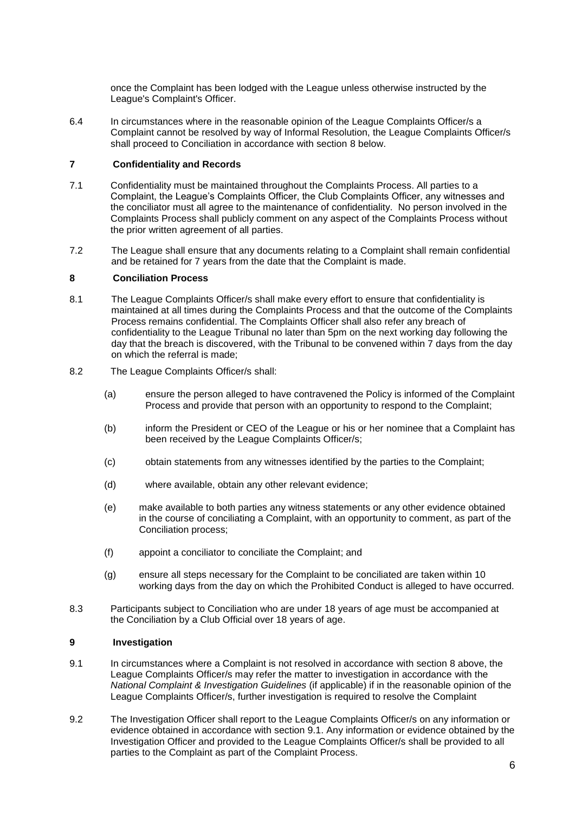once the Complaint has been lodged with the League unless otherwise instructed by the League's Complaint's Officer.

6.4 In circumstances where in the reasonable opinion of the League Complaints Officer/s a Complaint cannot be resolved by way of Informal Resolution, the League Complaints Officer/s shall proceed to Conciliation in accordance with section 8 below.

### **7 Confidentiality and Records**

- 7.1 Confidentiality must be maintained throughout the Complaints Process. All parties to a Complaint, the League's Complaints Officer, the Club Complaints Officer, any witnesses and the conciliator must all agree to the maintenance of confidentiality. No person involved in the Complaints Process shall publicly comment on any aspect of the Complaints Process without the prior written agreement of all parties.
- 7.2 The League shall ensure that any documents relating to a Complaint shall remain confidential and be retained for 7 years from the date that the Complaint is made.

### **8 Conciliation Process**

- 8.1 The League Complaints Officer/s shall make every effort to ensure that confidentiality is maintained at all times during the Complaints Process and that the outcome of the Complaints Process remains confidential. The Complaints Officer shall also refer any breach of confidentiality to the League Tribunal no later than 5pm on the next working day following the day that the breach is discovered, with the Tribunal to be convened within 7 days from the day on which the referral is made;
- 8.2 The League Complaints Officer/s shall:
	- (a) ensure the person alleged to have contravened the Policy is informed of the Complaint Process and provide that person with an opportunity to respond to the Complaint;
	- (b) inform the President or CEO of the League or his or her nominee that a Complaint has been received by the League Complaints Officer/s:
	- (c) obtain statements from any witnesses identified by the parties to the Complaint;
	- (d) where available, obtain any other relevant evidence;
	- (e) make available to both parties any witness statements or any other evidence obtained in the course of conciliating a Complaint, with an opportunity to comment, as part of the Conciliation process;
	- (f) appoint a conciliator to conciliate the Complaint; and
	- (g) ensure all steps necessary for the Complaint to be conciliated are taken within 10 working days from the day on which the Prohibited Conduct is alleged to have occurred.
- 8.3 Participants subject to Conciliation who are under 18 years of age must be accompanied at the Conciliation by a Club Official over 18 years of age.

### **9 Investigation**

- 9.1 In circumstances where a Complaint is not resolved in accordance with section 8 above, the League Complaints Officer/s may refer the matter to investigation in accordance with the *National Complaint & Investigation Guidelines* (if applicable) if in the reasonable opinion of the League Complaints Officer/s, further investigation is required to resolve the Complaint
- 9.2 The Investigation Officer shall report to the League Complaints Officer/s on any information or evidence obtained in accordance with section 9.1. Any information or evidence obtained by the Investigation Officer and provided to the League Complaints Officer/s shall be provided to all parties to the Complaint as part of the Complaint Process.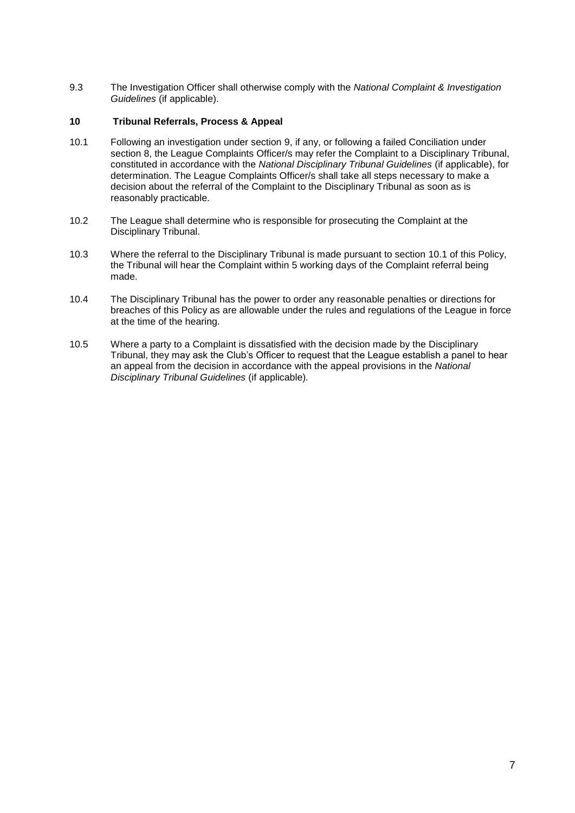9.3 The Investigation Officer shall otherwise comply with the *National Complaint & Investigation Guidelines* (if applicable).

### **10 Tribunal Referrals, Process & Appeal**

- 10.1 Following an investigation under section 9, if any, or following a failed Conciliation under section 8, the League Complaints Officer/s may refer the Complaint to a Disciplinary Tribunal, constituted in accordance with the *National Disciplinary Tribunal Guidelines* (if applicable), for determination. The League Complaints Officer/s shall take all steps necessary to make a decision about the referral of the Complaint to the Disciplinary Tribunal as soon as is reasonably practicable.
- 10.2 The League shall determine who is responsible for prosecuting the Complaint at the Disciplinary Tribunal.
- 10.3 Where the referral to the Disciplinary Tribunal is made pursuant to section 10.1 of this Policy, the Tribunal will hear the Complaint within 5 working days of the Complaint referral being made.
- 10.4 The Disciplinary Tribunal has the power to order any reasonable penalties or directions for breaches of this Policy as are allowable under the rules and regulations of the League in force at the time of the hearing.
- 10.5 Where a party to a Complaint is dissatisfied with the decision made by the Disciplinary Tribunal, they may ask the Club's Officer to request that the League establish a panel to hear an appeal from the decision in accordance with the appeal provisions in the *National Disciplinary Tribunal Guidelines* (if applicable)*.*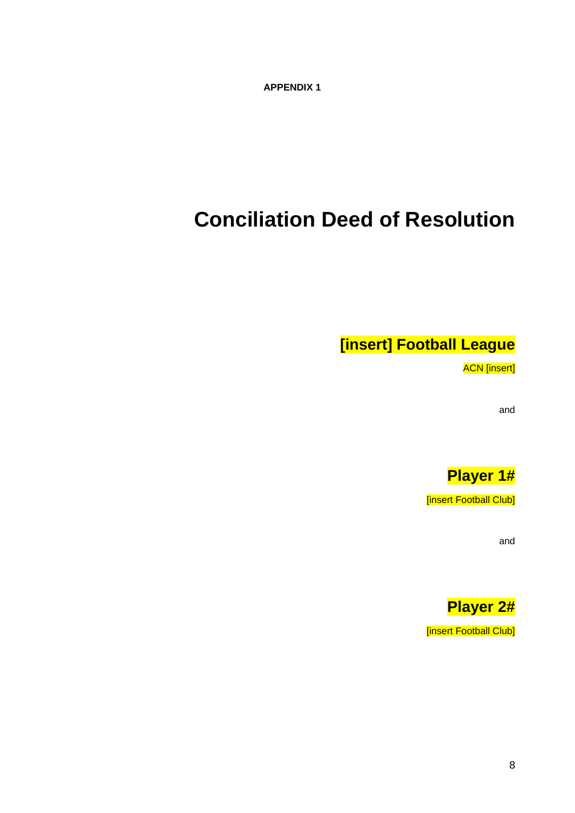**APPENDIX 1**

# **Conciliation Deed of Resolution**

**[insert] Football League**

ACN [insert]

and



[insert Football Club]

and

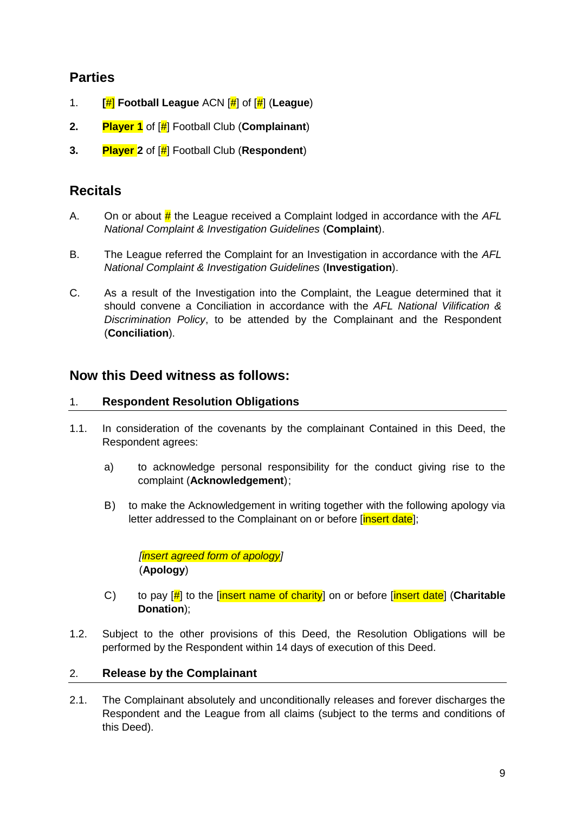## **Parties**

- 1. **[**#] **Football League** ACN [#] of [#] (**League**)
- **2. Player 1** of [#] Football Club (**Complainant**)
- **3. Player 2** of [#] Football Club (**Respondent**)

## **Recitals**

- A. On or about # the League received a Complaint lodged in accordance with the *AFL National Complaint & Investigation Guidelines* (**Complaint**).
- B. The League referred the Complaint for an Investigation in accordance with the *AFL National Complaint & Investigation Guidelines* (**Investigation**).
- C. As a result of the Investigation into the Complaint, the League determined that it should convene a Conciliation in accordance with the *AFL National Vilification & Discrimination Policy*, to be attended by the Complainant and the Respondent (**Conciliation**).

## **Now this Deed witness as follows:**

### 1. **Respondent Resolution Obligations**

- 1.1. In consideration of the covenants by the complainant Contained in this Deed, the Respondent agrees:
	- a) to acknowledge personal responsibility for the conduct giving rise to the complaint (**Acknowledgement**);
	- B) to make the Acknowledgement in writing together with the following apology via letter addressed to the Complainant on or before [insert date];

*[insert agreed form of apology]* (**Apology**)

- C) to pay [#] to the [insert name of charity] on or before [insert date] (**Charitable Donation**);
- 1.2. Subject to the other provisions of this Deed, the Resolution Obligations will be performed by the Respondent within 14 days of execution of this Deed.

### 2. **Release by the Complainant**

2.1. The Complainant absolutely and unconditionally releases and forever discharges the Respondent and the League from all claims (subject to the terms and conditions of this Deed).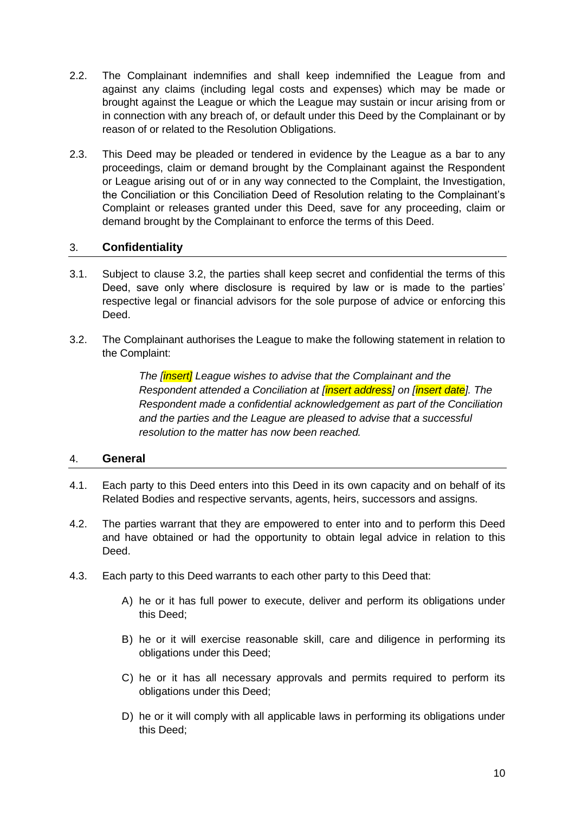- 2.2. The Complainant indemnifies and shall keep indemnified the League from and against any claims (including legal costs and expenses) which may be made or brought against the League or which the League may sustain or incur arising from or in connection with any breach of, or default under this Deed by the Complainant or by reason of or related to the Resolution Obligations.
- 2.3. This Deed may be pleaded or tendered in evidence by the League as a bar to any proceedings, claim or demand brought by the Complainant against the Respondent or League arising out of or in any way connected to the Complaint, the Investigation, the Conciliation or this Conciliation Deed of Resolution relating to the Complainant's Complaint or releases granted under this Deed, save for any proceeding, claim or demand brought by the Complainant to enforce the terms of this Deed.

### 3. **Confidentiality**

- 3.1. Subject to clause 3.2, the parties shall keep secret and confidential the terms of this Deed, save only where disclosure is required by law or is made to the parties' respective legal or financial advisors for the sole purpose of advice or enforcing this Deed.
- 3.2. The Complainant authorises the League to make the following statement in relation to the Complaint:

*The [insert] League wishes to advise that the Complainant and the Respondent attended a Conciliation at [insert address] on [insert date]. The Respondent made a confidential acknowledgement as part of the Conciliation and the parties and the League are pleased to advise that a successful resolution to the matter has now been reached.*

### 4. **General**

- 4.1. Each party to this Deed enters into this Deed in its own capacity and on behalf of its Related Bodies and respective servants, agents, heirs, successors and assigns.
- 4.2. The parties warrant that they are empowered to enter into and to perform this Deed and have obtained or had the opportunity to obtain legal advice in relation to this Deed.
- 4.3. Each party to this Deed warrants to each other party to this Deed that:
	- A) he or it has full power to execute, deliver and perform its obligations under this Deed;
	- B) he or it will exercise reasonable skill, care and diligence in performing its obligations under this Deed;
	- C) he or it has all necessary approvals and permits required to perform its obligations under this Deed;
	- D) he or it will comply with all applicable laws in performing its obligations under this Deed;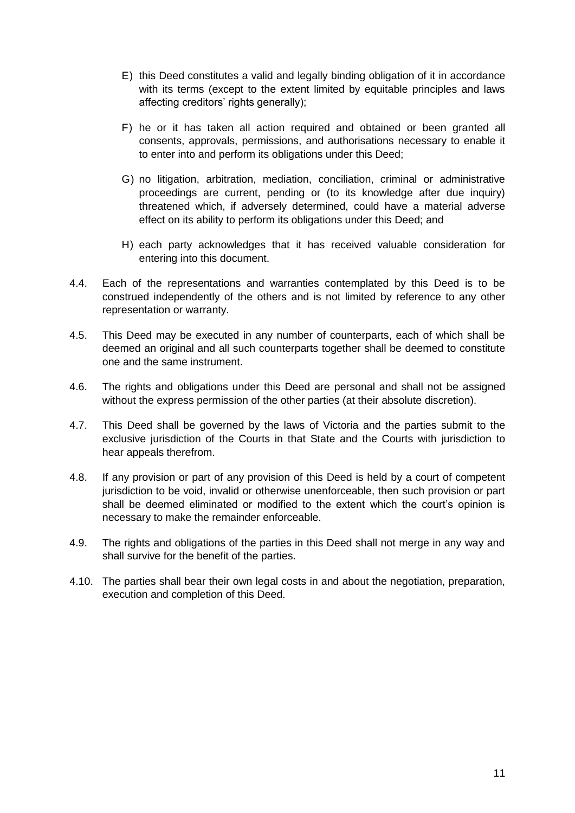- E) this Deed constitutes a valid and legally binding obligation of it in accordance with its terms (except to the extent limited by equitable principles and laws affecting creditors' rights generally);
- F) he or it has taken all action required and obtained or been granted all consents, approvals, permissions, and authorisations necessary to enable it to enter into and perform its obligations under this Deed;
- G) no litigation, arbitration, mediation, conciliation, criminal or administrative proceedings are current, pending or (to its knowledge after due inquiry) threatened which, if adversely determined, could have a material adverse effect on its ability to perform its obligations under this Deed; and
- H) each party acknowledges that it has received valuable consideration for entering into this document.
- 4.4. Each of the representations and warranties contemplated by this Deed is to be construed independently of the others and is not limited by reference to any other representation or warranty.
- 4.5. This Deed may be executed in any number of counterparts, each of which shall be deemed an original and all such counterparts together shall be deemed to constitute one and the same instrument.
- 4.6. The rights and obligations under this Deed are personal and shall not be assigned without the express permission of the other parties (at their absolute discretion).
- 4.7. This Deed shall be governed by the laws of Victoria and the parties submit to the exclusive jurisdiction of the Courts in that State and the Courts with jurisdiction to hear appeals therefrom.
- 4.8. If any provision or part of any provision of this Deed is held by a court of competent jurisdiction to be void, invalid or otherwise unenforceable, then such provision or part shall be deemed eliminated or modified to the extent which the court's opinion is necessary to make the remainder enforceable.
- 4.9. The rights and obligations of the parties in this Deed shall not merge in any way and shall survive for the benefit of the parties.
- 4.10. The parties shall bear their own legal costs in and about the negotiation, preparation, execution and completion of this Deed.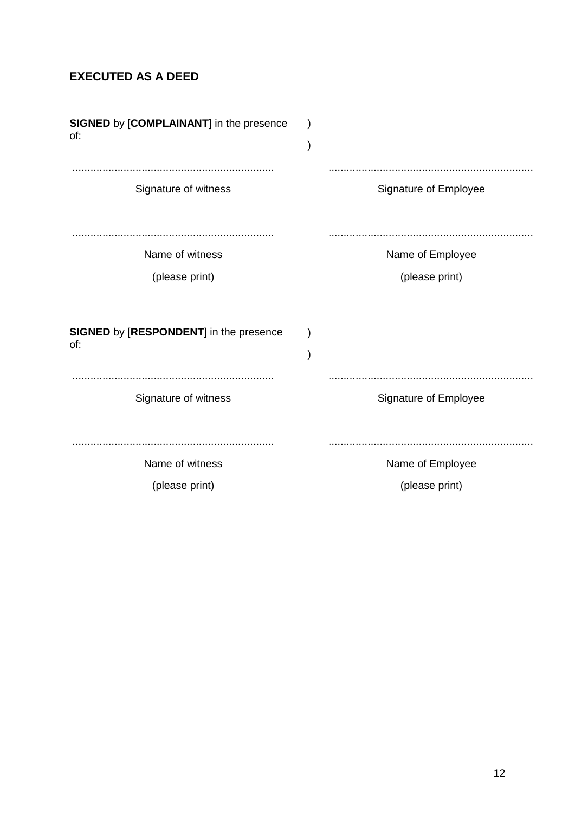# **EXECUTED AS A DEED**

| SIGNED by [COMPLAINANT] in the presence<br>of:       |                                    |
|------------------------------------------------------|------------------------------------|
| Signature of witness                                 | Signature of Employee              |
| Name of witness                                      | Name of Employee                   |
| (please print)                                       | (please print)                     |
| <b>SIGNED by [RESPONDENT] in the presence</b><br>of: |                                    |
| Signature of witness                                 | Signature of Employee              |
| Name of witness<br>(please print)                    | Name of Employee<br>(please print) |
|                                                      |                                    |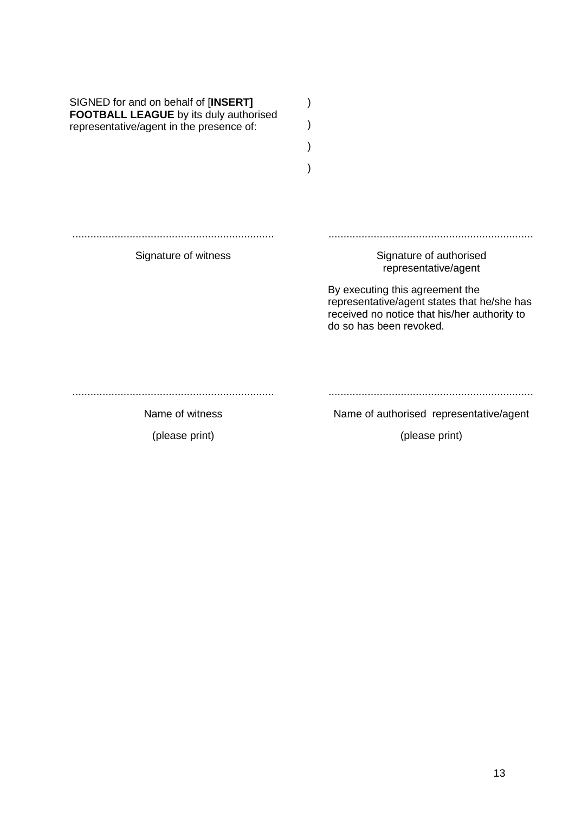| SIGNED for and on behalf of [INSERT]<br><b>FOOTBALL LEAGUE</b> by its duly authorised<br>representative/agent in the presence of: |                                                                                                                                                           |
|-----------------------------------------------------------------------------------------------------------------------------------|-----------------------------------------------------------------------------------------------------------------------------------------------------------|
| Signature of witness                                                                                                              | Signature of authorised<br>representative/agent                                                                                                           |
|                                                                                                                                   | By executing this agreement the<br>representative/agent states that he/she has<br>received no notice that his/her authority to<br>do so has been revoked. |
| Name of witness                                                                                                                   | Name of authorised representative/agent                                                                                                                   |
| (please print)                                                                                                                    | (please print)                                                                                                                                            |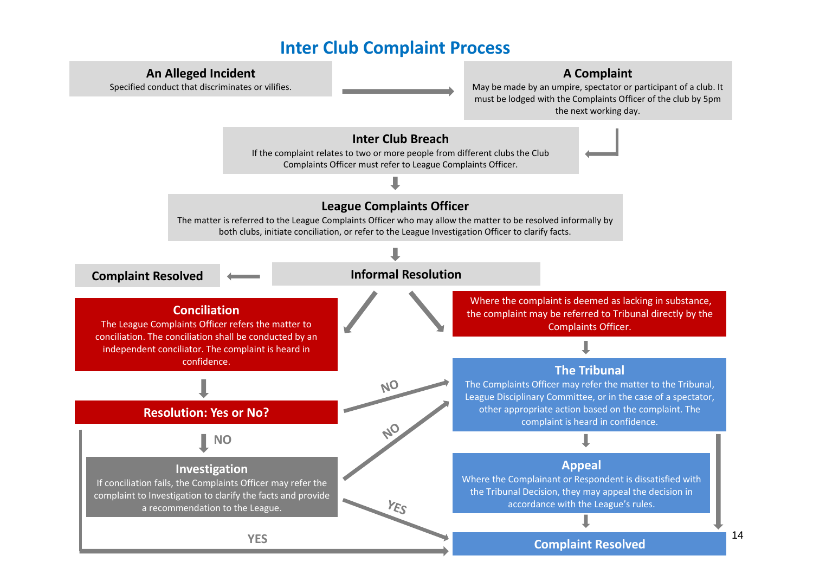# **Inter Club Complaint Process**